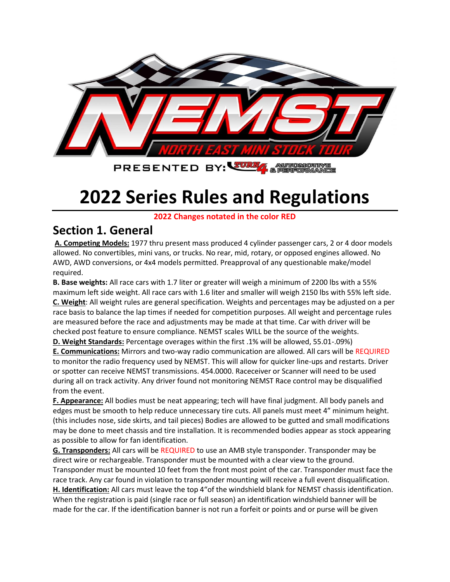

# **2022 Series Rules and Regulations**

**2022 Changes notated in the color RED**

#### **Section 1. General**

**A. Competing Models:** 1977 thru present mass produced 4 cylinder passenger cars, 2 or 4 door models allowed. No convertibles, mini vans, or trucks. No rear, mid, rotary, or opposed engines allowed. No AWD, AWD conversions, or 4x4 models permitted. Preapproval of any questionable make/model required.

**B. Base weights:** All race cars with 1.7 liter or greater will weigh a minimum of 2200 lbs with a 55% maximum left side weight. All race cars with 1.6 liter and smaller will weigh 2150 lbs with 55% left side. **C. Weight**: All weight rules are general specification. Weights and percentages may be adjusted on a per race basis to balance the lap times if needed for competition purposes. All weight and percentage rules are measured before the race and adjustments may be made at that time. Car with driver will be checked post feature to ensure compliance. NEMST scales WILL be the source of the weights.

**D. Weight Standards:** Percentage overages within the first .1% will be allowed, 55.01-.09%)

**E. Communications:** Mirrors and two-way radio communication are allowed. All cars will be REQUIRED to monitor the radio frequency used by NEMST. This will allow for quicker line-ups and restarts. Driver or spotter can receive NEMST transmissions. 454.0000. Raceceiver or Scanner will need to be used during all on track activity. Any driver found not monitoring NEMST Race control may be disqualified from the event.

**F. Appearance:** All bodies must be neat appearing; tech will have final judgment. All body panels and edges must be smooth to help reduce unnecessary tire cuts. All panels must meet 4" minimum height. (this includes nose, side skirts, and tail pieces) Bodies are allowed to be gutted and small modifications may be done to meet chassis and tire installation. It is recommended bodies appear as stock appearing as possible to allow for fan identification.

**G. Transponders:** All cars will be REQUIRED to use an AMB style transponder. Transponder may be direct wire or rechargeable. Transponder must be mounted with a clear view to the ground. Transponder must be mounted 10 feet from the front most point of the car. Transponder must face the race track. Any car found in violation to transponder mounting will receive a full event disqualification. **H. Identification:** All cars must leave the top 4"of the windshield blank for NEMST chassis identification. When the registration is paid (single race or full season) an identification windshield banner will be made for the car. If the identification banner is not run a forfeit or points and or purse will be given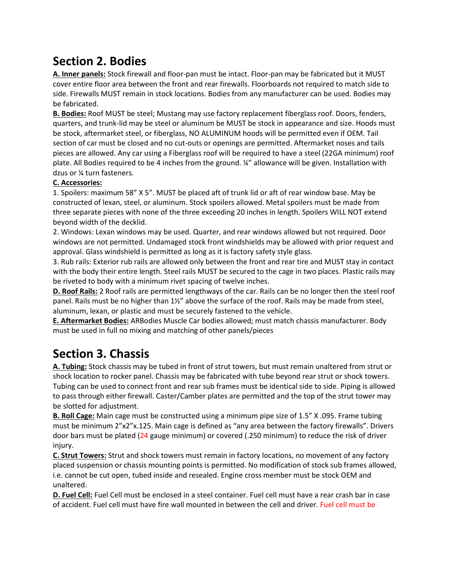# **Section 2. Bodies**

**A. Inner panels:** Stock firewall and floor-pan must be intact. Floor-pan may be fabricated but it MUST cover entire floor area between the front and rear firewalls. Floorboards not required to match side to side. Firewalls MUST remain in stock locations. Bodies from any manufacturer can be used. Bodies may be fabricated.

**B. Bodies:** Roof MUST be steel; Mustang may use factory replacement fiberglass roof. Doors, fenders, quarters, and trunk-lid may be steel or aluminum be MUST be stock in appearance and size. Hoods must be stock, aftermarket steel, or fiberglass, NO ALUMINUM hoods will be permitted even if OEM. Tail section of car must be closed and no cut-outs or openings are permitted. Aftermarket noses and tails pieces are allowed. Any car using a Fiberglass roof will be required to have a steel (22GA minimum) roof plate. All Bodies required to be 4 inches from the ground. ¼" allowance will be given. Installation with dzus or ¼ turn fasteners.

#### **C. Accessories:**

1. Spoilers: maximum 58" X 5". MUST be placed aft of trunk lid or aft of rear window base. May be constructed of lexan, steel, or aluminum. Stock spoilers allowed. Metal spoilers must be made from three separate pieces with none of the three exceeding 20 inches in length. Spoilers WILL NOT extend beyond width of the decklid.

2. Windows: Lexan windows may be used. Quarter, and rear windows allowed but not required. Door windows are not permitted. Undamaged stock front windshields may be allowed with prior request and approval. Glass windshield is permitted as long as it is factory safety style glass.

3. Rub rails: Exterior rub rails are allowed only between the front and rear tire and MUST stay in contact with the body their entire length. Steel rails MUST be secured to the cage in two places. Plastic rails may be riveted to body with a minimum rivet spacing of twelve inches.

**D. Roof Rails:** 2 Roof rails are permitted lengthways of the car. Rails can be no longer then the steel roof panel. Rails must be no higher than 1½" above the surface of the roof. Rails may be made from steel, aluminum, lexan, or plastic and must be securely fastened to the vehicle.

**E. Aftermarket Bodies:** ARBodies Muscle Car bodies allowed; must match chassis manufacturer. Body must be used in full no mixing and matching of other panels/pieces

# **Section 3. Chassis**

**A. Tubing:** Stock chassis may be tubed in front of strut towers, but must remain unaltered from strut or shock location to rocker panel. Chassis may be fabricated with tube beyond rear strut or shock towers. Tubing can be used to connect front and rear sub frames must be identical side to side. Piping is allowed to pass through either firewall. Caster/Camber plates are permitted and the top of the strut tower may be slotted for adjustment.

**B. Roll Cage:** Main cage must be constructed using a minimum pipe size of 1.5" X .095. Frame tubing must be minimum 2"x2"x.125. Main cage is defined as "any area between the factory firewalls". Drivers door bars must be plated (24 gauge minimum) or covered (.250 minimum) to reduce the risk of driver injury.

**C. Strut Towers:** Strut and shock towers must remain in factory locations, no movement of any factory placed suspension or chassis mounting points is permitted. No modification of stock sub frames allowed, i.e. cannot be cut open, tubed inside and resealed. Engine cross member must be stock OEM and unaltered.

**D. Fuel Cell:** Fuel Cell must be enclosed in a steel container. Fuel cell must have a rear crash bar in case of accident. Fuel cell must have fire wall mounted in between the cell and driver. Fuel cell must be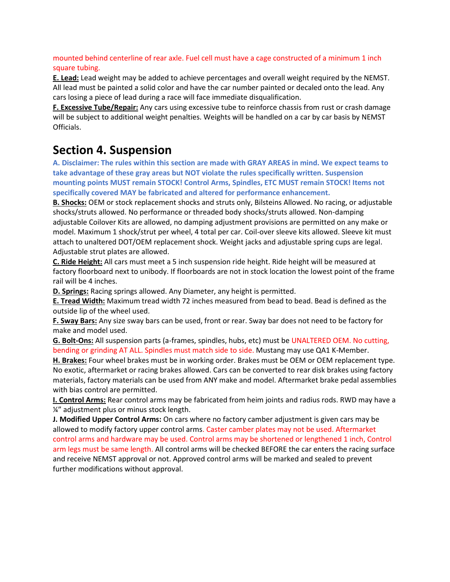mounted behind centerline of rear axle. Fuel cell must have a cage constructed of a minimum 1 inch square tubing.

**E. Lead:** Lead weight may be added to achieve percentages and overall weight required by the NEMST. All lead must be painted a solid color and have the car number painted or decaled onto the lead. Any cars losing a piece of lead during a race will face immediate disqualification.

**F. Excessive Tube/Repair:** Any cars using excessive tube to reinforce chassis from rust or crash damage will be subject to additional weight penalties. Weights will be handled on a car by car basis by NEMST Officials.

#### **Section 4. Suspension**

**A. Disclaimer: The rules within this section are made with GRAY AREAS in mind. We expect teams to take advantage of these gray areas but NOT violate the rules specifically written. Suspension mounting points MUST remain STOCK! Control Arms, Spindles, ETC MUST remain STOCK! Items not specifically covered MAY be fabricated and altered for performance enhancement.**

**B. Shocks:** OEM or stock replacement shocks and struts only, Bilsteins Allowed. No racing, or adjustable shocks/struts allowed. No performance or threaded body shocks/struts allowed. Non-damping adjustable Coilover Kits are allowed, no damping adjustment provisions are permitted on any make or model. Maximum 1 shock/strut per wheel, 4 total per car. Coil-over sleeve kits allowed. Sleeve kit must attach to unaltered DOT/OEM replacement shock. Weight jacks and adjustable spring cups are legal. Adjustable strut plates are allowed.

**C. Ride Height:** All cars must meet a 5 inch suspension ride height. Ride height will be measured at factory floorboard next to unibody. If floorboards are not in stock location the lowest point of the frame rail will be 4 inches.

**D. Springs:** Racing springs allowed. Any Diameter, any height is permitted.

**E. Tread Width:** Maximum tread width 72 inches measured from bead to bead. Bead is defined as the outside lip of the wheel used.

**F. Sway Bars:** Any size sway bars can be used, front or rear. Sway bar does not need to be factory for make and model used.

**G. Bolt-Ons:** All suspension parts (a-frames, spindles, hubs, etc) must be UNALTERED OEM. No cutting, bending or grinding AT ALL. Spindles must match side to side. Mustang may use QA1 K-Member.

**H. Brakes:** Four wheel brakes must be in working order. Brakes must be OEM or OEM replacement type. No exotic, aftermarket or racing brakes allowed. Cars can be converted to rear disk brakes using factory materials, factory materials can be used from ANY make and model. Aftermarket brake pedal assemblies with bias control are permitted.

**I. Control Arms:** Rear control arms may be fabricated from heim joints and radius rods. RWD may have a ¼" adjustment plus or minus stock length.

**J. Modified Upper Control Arms:** On cars where no factory camber adjustment is given cars may be allowed to modify factory upper control arms. Caster camber plates may not be used. Aftermarket control arms and hardware may be used. Control arms may be shortened or lengthened 1 inch, Control arm legs must be same length. All control arms will be checked BEFORE the car enters the racing surface and receive NEMST approval or not. Approved control arms will be marked and sealed to prevent further modifications without approval.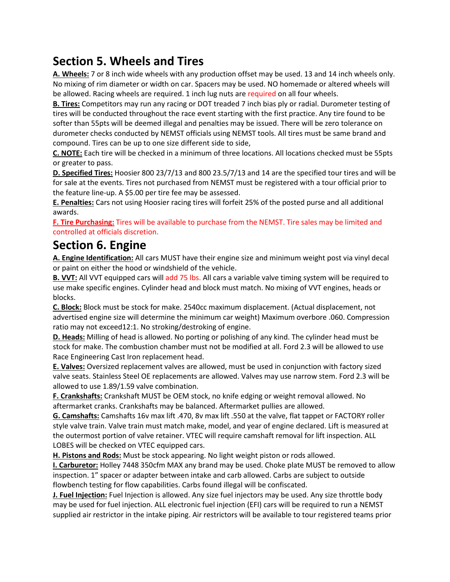# **Section 5. Wheels and Tires**

**A. Wheels:** 7 or 8 inch wide wheels with any production offset may be used. 13 and 14 inch wheels only. No mixing of rim diameter or width on car. Spacers may be used. NO homemade or altered wheels will be allowed. Racing wheels are required. 1 inch lug nuts are required on all four wheels.

**B. Tires:** Competitors may run any racing or DOT treaded 7 inch bias ply or radial. Durometer testing of tires will be conducted throughout the race event starting with the first practice. Any tire found to be softer than 55pts will be deemed illegal and penalties may be issued. There will be zero tolerance on durometer checks conducted by NEMST officials using NEMST tools. All tires must be same brand and compound. Tires can be up to one size different side to side,

**C. NOTE:** Each tire will be checked in a minimum of three locations. All locations checked must be 55pts or greater to pass.

**D. Specified Tires:** Hoosier 800 23/7/13 and 800 23.5/7/13 and 14 are the specified tour tires and will be for sale at the events. Tires not purchased from NEMST must be registered with a tour official prior to the feature line-up. A \$5.00 per tire fee may be assessed.

**E. Penalties:** Cars not using Hoosier racing tires will forfeit 25% of the posted purse and all additional awards.

**F. Tire Purchasing:** Tires will be available to purchase from the NEMST. Tire sales may be limited and controlled at officials discretion.

#### **Section 6. Engine**

**A. Engine Identification:** All cars MUST have their engine size and minimum weight post via vinyl decal or paint on either the hood or windshield of the vehicle.

**B. VVT:** All VVT equipped cars will add 75 lbs. All cars a variable valve timing system will be required to use make specific engines. Cylinder head and block must match. No mixing of VVT engines, heads or blocks.

**C. Block:** Block must be stock for make. 2540cc maximum displacement. (Actual displacement, not advertised engine size will determine the minimum car weight) Maximum overbore .060. Compression ratio may not exceed12:1. No stroking/destroking of engine.

**D. Heads:** Milling of head is allowed. No porting or polishing of any kind. The cylinder head must be stock for make. The combustion chamber must not be modified at all. Ford 2.3 will be allowed to use Race Engineering Cast Iron replacement head.

**E. Valves:** Oversized replacement valves are allowed, must be used in conjunction with factory sized valve seats. Stainless Steel OE replacements are allowed. Valves may use narrow stem. Ford 2.3 will be allowed to use 1.89/1.59 valve combination.

**F. Crankshafts:** Crankshaft MUST be OEM stock, no knife edging or weight removal allowed. No aftermarket cranks. Crankshafts may be balanced. Aftermarket pullies are allowed.

**G. Camshafts:** Camshafts 16v max lift .470, 8v max lift .550 at the valve, flat tappet or FACTORY roller style valve train. Valve train must match make, model, and year of engine declared. Lift is measured at the outermost portion of valve retainer. VTEC will require camshaft removal for lift inspection. ALL LOBES will be checked on VTEC equipped cars.

**H. Pistons and Rods:** Must be stock appearing. No light weight piston or rods allowed.

**I. Carburetor:** Holley 7448 350cfm MAX any brand may be used. Choke plate MUST be removed to allow inspection. 1" spacer or adapter between intake and carb allowed. Carbs are subject to outside flowbench testing for flow capabilities. Carbs found illegal will be confiscated.

**J. Fuel Injection:** Fuel Injection is allowed. Any size fuel injectors may be used. Any size throttle body may be used for fuel injection. ALL electronic fuel injection (EFI) cars will be required to run a NEMST supplied air restrictor in the intake piping. Air restrictors will be available to tour registered teams prior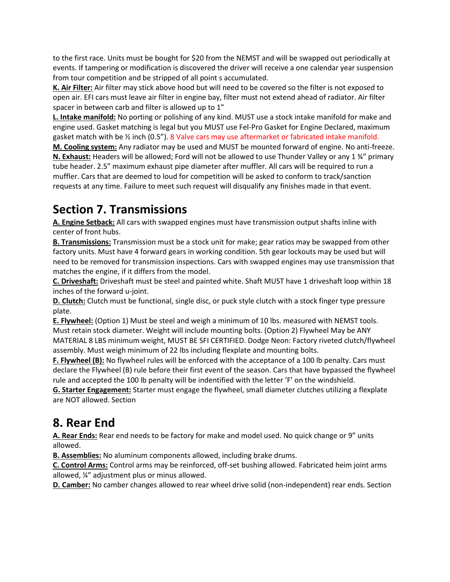to the first race. Units must be bought for \$20 from the NEMST and will be swapped out periodically at events. If tampering or modification is discovered the driver will receive a one calendar year suspension from tour competition and be stripped of all point s accumulated.

**K. Air Filter:** Air filter may stick above hood but will need to be covered so the filter is not exposed to open air. EFI cars must leave air filter in engine bay, filter must not extend ahead of radiator. Air filter spacer in between carb and filter is allowed up to 1"

**L. Intake manifold:** No porting or polishing of any kind. MUST use a stock intake manifold for make and engine used. Gasket matching is legal but you MUST use Fel-Pro Gasket for Engine Declared, maximum gasket match with be  $\frac{y}{2}$  inch (0.5"). 8 Valve cars may use aftermarket or fabricated intake manifold.

**M. Cooling system:** Any radiator may be used and MUST be mounted forward of engine. No anti-freeze. **N. Exhaust:** Headers will be allowed; Ford will not be allowed to use Thunder Valley or any 1 ¾" primary tube header. 2.5" maximum exhaust pipe diameter after muffler. All cars will be required to run a muffler. Cars that are deemed to loud for competition will be asked to conform to track/sanction requests at any time. Failure to meet such request will disqualify any finishes made in that event.

# **Section 7. Transmissions**

**A. Engine Setback:** All cars with swapped engines must have transmission output shafts inline with center of front hubs.

**B. Transmissions:** Transmission must be a stock unit for make; gear ratios may be swapped from other factory units. Must have 4 forward gears in working condition. 5th gear lockouts may be used but will need to be removed for transmission inspections. Cars with swapped engines may use transmission that matches the engine, if it differs from the model.

**C. Driveshaft:** Driveshaft must be steel and painted white. Shaft MUST have 1 driveshaft loop within 18 inches of the forward u-joint.

**D. Clutch:** Clutch must be functional, single disc, or puck style clutch with a stock finger type pressure plate.

**E. Flywheel:** (Option 1) Must be steel and weigh a minimum of 10 lbs. measured with NEMST tools. Must retain stock diameter. Weight will include mounting bolts. (Option 2) Flywheel May be ANY MATERIAL 8 LBS minimum weight, MUST BE SFI CERTIFIED. Dodge Neon: Factory riveted clutch/flywheel assembly. Must weigh minimum of 22 lbs including flexplate and mounting bolts.

**F. Flywheel (B):** No flywheel rules will be enforced with the acceptance of a 100 lb penalty. Cars must declare the Flywheel (B) rule before their first event of the season. Cars that have bypassed the flywheel rule and accepted the 100 lb penalty will be indentified with the letter 'F' on the windshield.

**G. Starter Engagement:** Starter must engage the flywheel, small diameter clutches utilizing a flexplate are NOT allowed. Section

# **8. Rear End**

**A. Rear Ends:** Rear end needs to be factory for make and model used. No quick change or 9" units allowed.

**B. Assemblies:** No aluminum components allowed, including brake drums.

**C. Control Arms:** Control arms may be reinforced, off-set bushing allowed. Fabricated heim joint arms allowed, ¼" adjustment plus or minus allowed.

**D. Camber:** No camber changes allowed to rear wheel drive solid (non-independent) rear ends. Section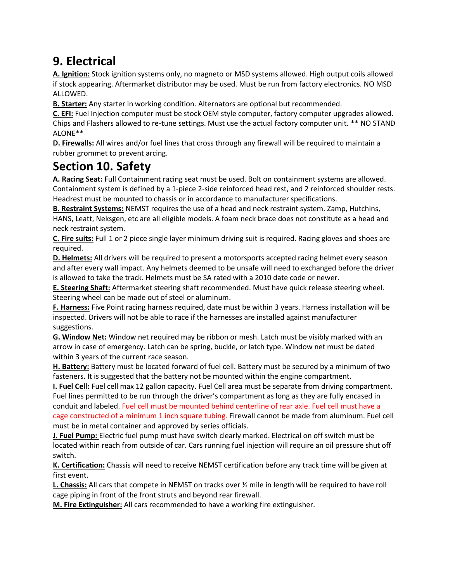# **9. Electrical**

**A. Ignition:** Stock ignition systems only, no magneto or MSD systems allowed. High output coils allowed if stock appearing. Aftermarket distributor may be used. Must be run from factory electronics. NO MSD ALLOWED.

**B. Starter:** Any starter in working condition. Alternators are optional but recommended.

**C. EFI:** Fuel Injection computer must be stock OEM style computer, factory computer upgrades allowed. Chips and Flashers allowed to re-tune settings. Must use the actual factory computer unit. \*\* NO STAND ALONE\*\*

**D. Firewalls:** All wires and/or fuel lines that cross through any firewall will be required to maintain a rubber grommet to prevent arcing.

### **Section 10. Safety**

**A. Racing Seat:** Full Containment racing seat must be used. Bolt on containment systems are allowed. Containment system is defined by a 1-piece 2-side reinforced head rest, and 2 reinforced shoulder rests. Headrest must be mounted to chassis or in accordance to manufacturer specifications.

**B. Restraint Systems:** NEMST requires the use of a head and neck restraint system. Zamp, Hutchins, HANS, Leatt, Neksgen, etc are all eligible models. A foam neck brace does not constitute as a head and neck restraint system.

**C. Fire suits:** Full 1 or 2 piece single layer minimum driving suit is required. Racing gloves and shoes are required.

**D. Helmets:** All drivers will be required to present a motorsports accepted racing helmet every season and after every wall impact. Any helmets deemed to be unsafe will need to exchanged before the driver is allowed to take the track. Helmets must be SA rated with a 2010 date code or newer.

**E. Steering Shaft:** Aftermarket steering shaft recommended. Must have quick release steering wheel. Steering wheel can be made out of steel or aluminum.

**F. Harness:** Five Point racing harness required, date must be within 3 years. Harness installation will be inspected. Drivers will not be able to race if the harnesses are installed against manufacturer suggestions.

**G. Window Net:** Window net required may be ribbon or mesh. Latch must be visibly marked with an arrow in case of emergency. Latch can be spring, buckle, or latch type. Window net must be dated within 3 years of the current race season.

**H. Battery:** Battery must be located forward of fuel cell. Battery must be secured by a minimum of two fasteners. It is suggested that the battery not be mounted within the engine compartment.

**I. Fuel Cell:** Fuel cell max 12 gallon capacity. Fuel Cell area must be separate from driving compartment. Fuel lines permitted to be run through the driver's compartment as long as they are fully encased in conduit and labeled. Fuel cell must be mounted behind centerline of rear axle. Fuel cell must have a cage constructed of a minimum 1 inch square tubing. Firewall cannot be made from aluminum. Fuel cell must be in metal container and approved by series officials.

**J. Fuel Pump:** Electric fuel pump must have switch clearly marked. Electrical on off switch must be located within reach from outside of car. Cars running fuel injection will require an oil pressure shut off switch.

**K. Certification:** Chassis will need to receive NEMST certification before any track time will be given at first event.

**L. Chassis:** All cars that compete in NEMST on tracks over ½ mile in length will be required to have roll cage piping in front of the front struts and beyond rear firewall.

**M. Fire Extinguisher:** All cars recommended to have a working fire extinguisher.